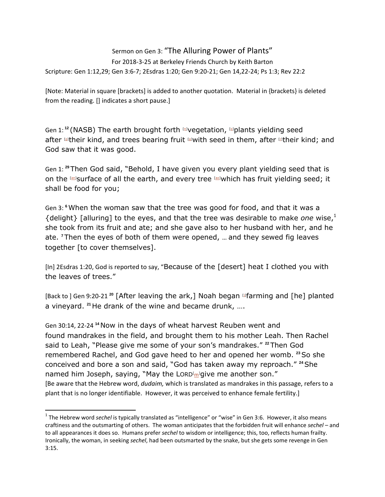## Sermon on Gen 3: "The Alluring Power of Plants" For 2018-3-25 at Berkeley Friends Church by Keith Barton Scripture: Gen 1:12,29; Gen 3:6-7; 2Esdras 1:20; Gen 9:20-21; Gen 14,22-24; Ps 1:3; Rev 22:2

[Note: Material in square [brackets] is added to another quotation. Material in {brackets} is deleted from the reading. [] indicates a short pause.]

Gen 1: **<sup>12</sup>** (NASB) The earth brought forth [\[n\]](https://www.biblegateway.com/passage/?search=gen+1&version=NASB#fen-NASB-12n)vegetation, [\[o\]](https://www.biblegateway.com/passage/?search=gen+1&version=NASB#fen-NASB-12o)plants yielding seed after <sup>pu</sup>their kind, and trees bearing fruit **Duith seed in them, after Dtheir kind**; and God saw that it was good.

Gen 1: **<sup>29</sup>** Then God said, "Behold, I have given you every plant yielding seed that is on the [\[an\]](https://www.biblegateway.com/passage/?search=gen+1&version=NASB#fen-NASB-29an)surface of all the earth, and every tree [\[ao\]](https://www.biblegateway.com/passage/?search=gen+1&version=NASB#fen-NASB-29ao)which has fruit yielding seed; it shall be food for you;

Gen 3: **<sup>6</sup>**When the woman saw that the tree was good for food, and that it was a {delight} [alluring] to the eyes, and that the tree was desirable to make *one* wise,<sup>1</sup> she took from its fruit and ate; and she gave also to her husband with her, and he ate. **<sup>7</sup>** Then the eyes of both of them were opened, … and they sewed fig leaves together [to cover themselves].

[In] 2Esdras 1:20, God is reported to say, "Because of the [desert] heat I clothed you with the leaves of trees."

[Back to ] Gen 9:20-21<sup>20</sup> [After leaving the ark,] Noah began <sup>mer</sup>arming and [he] planted a vineyard. **<sup>21</sup>** He drank of the wine and became drunk, ….

Gen 30:14, 22-24 **<sup>14</sup>** Now in the days of wheat harvest Reuben went and found mandrakes in the field, and brought them to his mother Leah. Then Rachel said to Leah, "Please give me some of your son's mandrakes." **<sup>22</sup>** Then God remembered Rachel, and God gave heed to her and opened her womb. **<sup>23</sup>**So she conceived and bore a son and said, "God has taken away my reproach." **<sup>24</sup>**She na[m](https://www.biblegateway.com/passage/?search=gen+30&version=NASB#fen-NASB-855m)ed him Joseph, saying, "May the LORD<sup>[</sup>m<sup>1</sup>give me another son." [Be aware that the Hebrew word, *dudaim,* which is translated as mandrakes in this passage, refers to a plant that is no longer identifiable. However, it was perceived to enhance female fertility.]

 $\overline{\phantom{a}}$ 

<sup>&</sup>lt;sup>1</sup> The Hebrew word *sechel* is typically translated as "intelligence" or "wise" in Gen 3:6. However, it also means craftiness and the outsmarting of others. The woman anticipates that the forbidden fruit will enhance *sechel* – and to all appearances it does so. Humans prefer *sechel* to wisdom or intelligence; this, too, reflects human frailty. Ironically, the woman, in seeking *sechel*, had been outsmarted by the snake, but she gets some revenge in Gen 3:15.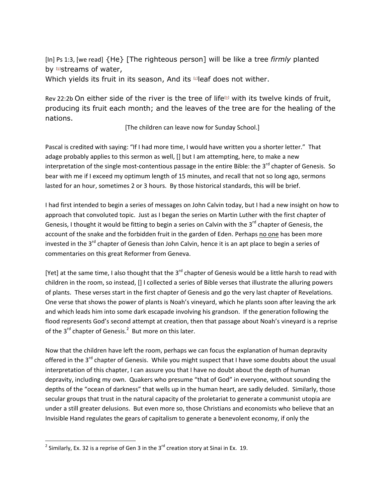[In] Ps 1:3, [we read] {He} [The righteous person] will be like a tree *firmly* planted by  $\mathbb{D}$ streams of water, Which yields its fruit in its season, And its **Deaf does not wither**.

Rev 22:2b On either side of the river is the tree of life<sup>[\[b\]](https://www.biblegateway.com/passage/?search=rev+22&version=NRSV#fen-NRSV-31067b)</sup> with its twelve kinds of fruit, producing its fruit each month; and the leaves of the tree are for the healing of the nations.

[The children can leave now for Sunday School.]

Pascal is credited with saying: "If I had more time, I would have written you a shorter letter." That adage probably applies to this sermon as well, [] but I am attempting, here, to make a new interpretation of the single most-contentious passage in the entire Bible: the  $3<sup>rd</sup>$  chapter of Genesis. So bear with me if I exceed my optimum length of 15 minutes, and recall that not so long ago, sermons lasted for an hour, sometimes 2 or 3 hours. By those historical standards, this will be brief.

I had first intended to begin a series of messages on John Calvin today, but I had a new insight on how to approach that convoluted topic. Just as I began the series on Martin Luther with the first chapter of Genesis, I thought it would be fitting to begin a series on Calvin with the 3 $^{rd}$  chapter of Genesis, the account of the snake and the forbidden fruit in the garden of Eden. Perhaps no one has been more invested in the 3<sup>rd</sup> chapter of Genesis than John Calvin, hence it is an apt place to begin a series of commentaries on this great Reformer from Geneva.

[Yet] at the same time, I also thought that the  $3^{rd}$  chapter of Genesis would be a little harsh to read with children in the room, so instead, [] I collected a series of Bible verses that illustrate the alluring powers of plants. These verses start in the first chapter of Genesis and go the very last chapter of Revelations. One verse that shows the power of plants is Noah's vineyard, which he plants soon after leaving the ark and which leads him into some dark escapade involving his grandson. If the generation following the flood represents God's second attempt at creation, then that passage about Noah's vineyard is a reprise of the 3<sup>rd</sup> chapter of Genesis.<sup>2</sup> But more on this later.

Now that the children have left the room, perhaps we can focus the explanation of human depravity offered in the 3<sup>rd</sup> chapter of Genesis. While you might suspect that I have some doubts about the usual interpretation of this chapter, I can assure you that I have no doubt about the depth of human depravity, including my own. Quakers who presume "that of God" in everyone, without sounding the depths of the "ocean of darkness" that wells up in the human heart, are sadly deluded. Similarly, those secular groups that trust in the natural capacity of the proletariat to generate a communist utopia are under a still greater delusions. But even more so, those Christians and economists who believe that an Invisible Hand regulates the gears of capitalism to generate a benevolent economy, if only the

 $\frac{2}{3}$  Similarly, Ex. 32 is a reprise of Gen 3 in the 3<sup>rd</sup> creation story at Sinai in Ex. 19.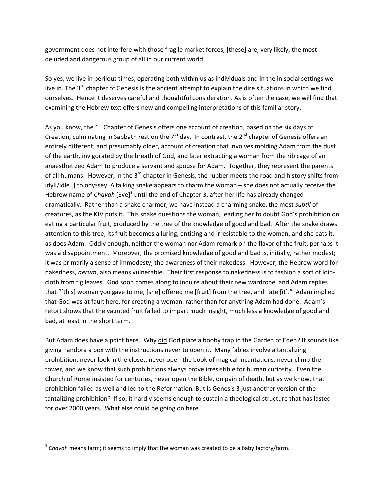government does not interfere with those fragile market forces, [these] are, very likely, the most deluded and dangerous group of all in our current world.

So yes, we live in perilous times, operating both within us as individuals and in the in social settings we live in. The 3<sup>rd</sup> chapter of Genesis is the ancient attempt to explain the dire situations in which we find ourselves. Hence it deserves careful and thoughtful consideration. As is often the case, we will find that examining the Hebrew text offers new and compelling interpretations of this familiar story.

As you know, the 1<sup>st</sup> Chapter of Genesis offers one account of creation, based on the six days of Creation, culminating in Sabbath rest on the  $7<sup>th</sup>$  day. In contrast, the  $2<sup>nd</sup>$  chapter of Genesis offers an entirely different, and presumably older, account of creation that involves molding Adam from the dust of the earth, invigorated by the breath of God, and later extracting a woman from the rib cage of an anaesthetized Adam to produce a servant and spouse for Adam. Together, they represent the parents of all humans. However, in the  $3^{\text{rd}}$  chapter in Genesis, the rubber meets the road and history shifts from idyll/idle [] to odyssey. A talking snake appears to charm the woman – she does not actually receive the Hebrew name of *Chavah* [Eve]<sup>3</sup> until the end of Chapter 3, after her life has already changed dramatically. Rather than a snake charmer, we have instead a charming snake, the most *subtil* of creatures, as the KJV puts it. This snake questions the woman, leading her to doubt God's prohibition on eating a particular fruit, produced by the tree of the knowledge of good and bad. After the snake draws attention to this tree, its fruit becomes alluring, enticing and irresistable to the woman, and she eats it, as does Adam. Oddly enough, neither the woman nor Adam remark on the flavor of the fruit; perhaps it was a disappointment. Moreover, the promised knowledge of good and bad is, initially, rather modest; it was primarily a sense of immodesty, the awareness of their nakedess. However, the Hebrew word for nakedness, *aerum*, also means vulnerable. Their first response to nakedness is to fashion a sort of loincloth from fig leaves. God soon comes along to inquire about their new wardrobe, and Adam replies that "[this] woman you gave to me, [she] offered me [fruit] from the tree, and I ate [it]." Adam implied that God was at fault here, for creating a woman, rather than for anything Adam had done. Adam's retort shows that the vaunted fruit failed to impart much insight, much less a knowledge of good and bad, at least in the short term.

But Adam does have a point here. Why did God place a booby trap in the Garden of Eden? It sounds like giving Pandora a box with the instructions never to open it. Many fables involve a tantalizing prohibition: never look in the closet, never open the book of magical incantations, never climb the tower, and we know that such prohibitions always prove irresistible for human curiosity. Even the Church of Rome insisted for centuries, never open the Bible, on pain of death, but as we know, that prohibition failed as well and led to the Reformation. But is Genesis 3 just another version of the tantalizing prohibition? If so, it hardly seems enough to sustain a theological structure that has lasted for over 2000 years. What else could be going on here?

 $\overline{a}$ 

<sup>3</sup> *Chavah* means farm; it seems to imply that the woman was created to be a baby factory/farm.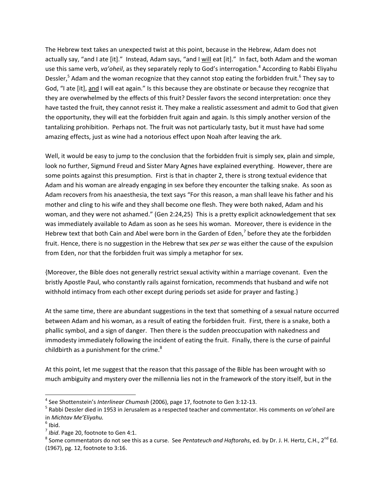The Hebrew text takes an unexpected twist at this point, because in the Hebrew, Adam does not actually say, "and I ate [it]." Instead, Adam says, "and I will eat [it]." In fact, both Adam and the woman use this same verb, *va'oheil*, as they separately reply to God's interrogation. 4 According to Rabbi Eliyahu Dessler,<sup>5</sup> Adam and the woman recognize that they cannot stop eating the forbidden fruit.<sup>6</sup> They say to God, "I ate [it], and I will eat again." Is this because they are obstinate or because they recognize that they are overwhelmed by the effects of this fruit? Dessler favors the second interpretation: once they have tasted the fruit, they cannot resist it. They make a realistic assessment and admit to God that given the opportunity, they will eat the forbidden fruit again and again. Is this simply another version of the tantalizing prohibition. Perhaps not. The fruit was not particularly tasty, but it must have had some amazing effects, just as wine had a notorious effect upon Noah after leaving the ark.

Well, it would be easy to jump to the conclusion that the forbidden fruit is simply sex, plain and simple, look no further, Sigmund Freud and Sister Mary Agnes have explained everything. However, there are some points against this presumption. First is that in chapter 2, there is strong textual evidence that Adam and his woman are already engaging in sex before they encounter the talking snake. As soon as Adam recovers from his anaesthesia, the text says "For this reason, a man shall leave his father and his mother and cling to his wife and they shall become one flesh. They were both naked, Adam and his woman, and they were not ashamed." (Gen 2:24,25) This is a pretty explicit acknowledgement that sex was immediately available to Adam as soon as he sees his woman. Moreover, there is evidence in the Hebrew text that both Cain and Abel were born in the Garden of Eden,<sup>7</sup> before they ate the forbidden fruit. Hence, there is no suggestion in the Hebrew that sex *per se* was either the cause of the expulsion from Eden, nor that the forbidden fruit was simply a metaphor for sex.

{Moreover, the Bible does not generally restrict sexual activity within a marriage covenant. Even the bristly Apostle Paul, who constantly rails against fornication, recommends that husband and wife not withhold intimacy from each other except during periods set aside for prayer and fasting.}

At the same time, there are abundant suggestions in the text that something of a sexual nature occurred between Adam and his woman, as a result of eating the forbidden fruit. First, there is a snake, both a phallic symbol, and a sign of danger. Then there is the sudden preoccupation with nakedness and immodesty immediately following the incident of eating the fruit. Finally, there is the curse of painful childbirth as a punishment for the crime. $8<sup>8</sup>$ 

At this point, let me suggest that the reason that this passage of the Bible has been wrought with so much ambiguity and mystery over the millennia lies not in the framework of the story itself, but in the

 $\overline{\phantom{a}}$ 

<sup>4</sup> See Shottenstein's *Interlinear Chumash* (2006), page 17, footnote to Gen 3:12-13.

<sup>5</sup> Rabbi Dessler died in 1953 in Jerusalem as a respected teacher and commentator. His comments on *va'oheil* are in *Michtav Me'Eliyahu.*

 $<sup>6</sup>$  Ibid.</sup>

<sup>7</sup> *Ibid*. Page 20, footnote to Gen 4:1.

<sup>&</sup>lt;sup>8</sup> Some commentators do not see this as a curse. See *Pentateuch and Haftorahs*, ed. by Dr. J. H. Hertz, C.H., 2<sup>nd</sup> Ed. (1967), pg. 12, footnote to 3:16.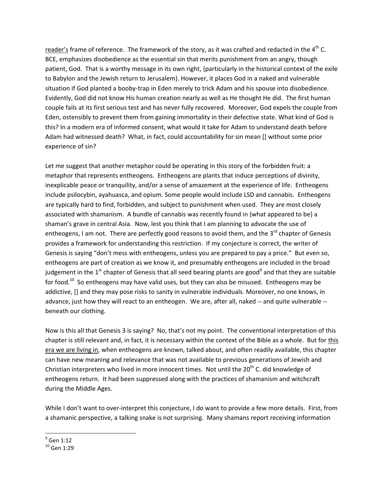reader's frame of reference. The framework of the story, as it was crafted and redacted in the 4<sup>th</sup> C. BCE, emphasizes disobedience as the essential sin that merits punishment from an angry, though patient, God. That is a worthy message in its own right, {particularly in the historical context of the exile to Babylon and the Jewish return to Jerusalem}. However, it places God in a naked and vulnerable situation if God planted a booby-trap in Eden merely to trick Adam and his spouse into disobedience. Evidently, God did not know His human creation nearly as well as He thought He did. The first human couple fails at its first serious test and has never fully recovered. Moreover, God expels the couple from Eden, ostensibly to prevent them from gaining immortality in their defective state. What kind of God is this? In a modern era of informed consent, what would it take for Adam to understand death before Adam had witnessed death? What, in fact, could accountability for sin mean [] without some prior experience of sin?

Let me suggest that another metaphor could be operating in this story of the forbidden fruit: a metaphor that represents entheogens. Entheogens are plants that induce perceptions of divinity, inexplicable peace or tranquility, and/or a sense of amazement at the experience of life. Entheogens include psilocybin, ayahuasca, and opium. Some people would include LSD and cannabis. Entheogens are typically hard to find, forbidden, and subject to punishment when used. They are most closely associated with shamanism. A bundle of cannabis was recently found in {what appeared to be} a shaman's grave in central Asia. Now, lest you think that I am planning to advocate the use of entheogens, I am not. There are perfectly good reasons to avoid them, and the  $3<sup>rd</sup>$  chapter of Genesis provides a framework for understanding this restriction. If my conjecture is correct, the writer of Genesis is saying "don't mess with entheogens, unless you are prepared to pay a price." But even so, entheogens are part of creation as we know it, and presumably entheogens are included in the broad judgement in the 1<sup>st</sup> chapter of Genesis that all seed bearing plants are good<sup>9</sup> and that they are suitable for food.<sup>10</sup> So entheogens may have valid uses, but they can also be misused. Entheogens may be addictive, [] and they may pose risks to sanity in vulnerable individuals. Moreover, no one knows, in advance, just how they will react to an entheogen. We are, after all, naked -- and quite vulnerable - beneath our clothing.

Now is this all that Genesis 3 is saying? No, that's not my point. The conventional interpretation of this chapter is still relevant and, in fact, it is necessary within the context of the Bible as a whole. But for this era we are living in, when entheogens are known, talked about, and often readily available, this chapter can have new meaning and relevance that was not available to previous generations of Jewish and Christian interpreters who lived in more innocent times. Not until the  $20<sup>th</sup>$  C. did knowledge of entheogens return. It had been suppressed along with the practices of shamanism and witchcraft during the Middle Ages.

While I don't want to over-interpret this conjecture, I do want to provide a few more details. First, from a shamanic perspective, a talking snake is not surprising. Many shamans report receiving information

 $\overline{\phantom{a}}$  $^9$  Gen 1:12

 $10$  Gen 1:29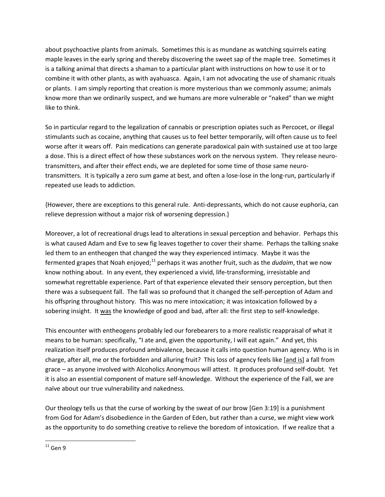about psychoactive plants from animals. Sometimes this is as mundane as watching squirrels eating maple leaves in the early spring and thereby discovering the sweet sap of the maple tree. Sometimes it is a talking animal that directs a shaman to a particular plant with instructions on how to use it or to combine it with other plants, as with ayahuasca. Again, I am not advocating the use of shamanic rituals or plants. I am simply reporting that creation is more mysterious than we commonly assume; animals know more than we ordinarily suspect, and we humans are more vulnerable or "naked" than we might like to think.

So in particular regard to the legalization of cannabis or prescription opiates such as Percocet, or illegal stimulants such as cocaine, anything that causes us to feel better temporarily, will often cause us to feel worse after it wears off. Pain medications can generate paradoxical pain with sustained use at too large a dose. This is a direct effect of how these substances work on the nervous system. They release neurotransmitters, and after their effect ends, we are depleted for some time of those same neurotransmitters. It is typically a zero sum game at best, and often a lose-lose in the long-run, particularly if repeated use leads to addiction.

{However, there are exceptions to this general rule. Anti-depressants, which do not cause euphoria, can relieve depression without a major risk of worsening depression.}

Moreover, a lot of recreational drugs lead to alterations in sexual perception and behavior. Perhaps this is what caused Adam and Eve to sew fig leaves together to cover their shame. Perhaps the talking snake led them to an entheogen that changed the way they experienced intimacy. Maybe it was the fermented grapes that Noah enjoyed;<sup>11</sup> perhaps it was another fruit, such as the *dudaim*, that we now know nothing about. In any event, they experienced a vivid, life-transforming, irresistable and somewhat regrettable experience. Part of that experience elevated their sensory perception, but then there was a subsequent fall. The fall was so profound that it changed the self-perception of Adam and his offspring throughout history. This was no mere intoxication; it was intoxication followed by a sobering insight. It was the knowledge of good and bad, after all: the first step to self-knowledge.

This encounter with entheogens probably led our forebearers to a more realistic reappraisal of what it means to be human: specifically, "I ate and, given the opportunity, I will eat again." And yet, this realization itself produces profound ambivalence, because it calls into question human agency. Who is in charge, after all, me or the forbidden and alluring fruit? This loss of agency feels like [and is] a fall from grace – as anyone involved with Alcoholics Anonymous will attest. It produces profound self-doubt. Yet it is also an essential component of mature self-knowledge. Without the experience of the Fall, we are naïve about our true vulnerability and nakedness.

Our theology tells us that the curse of working by the sweat of our brow [Gen 3:19] is a punishment from God for Adam's disobedience in the Garden of Eden, but rather than a curse, we might view work as the opportunity to do something creative to relieve the boredom of intoxication. If we realize that a

 $\overline{a}$  $^{11}$  Gen 9